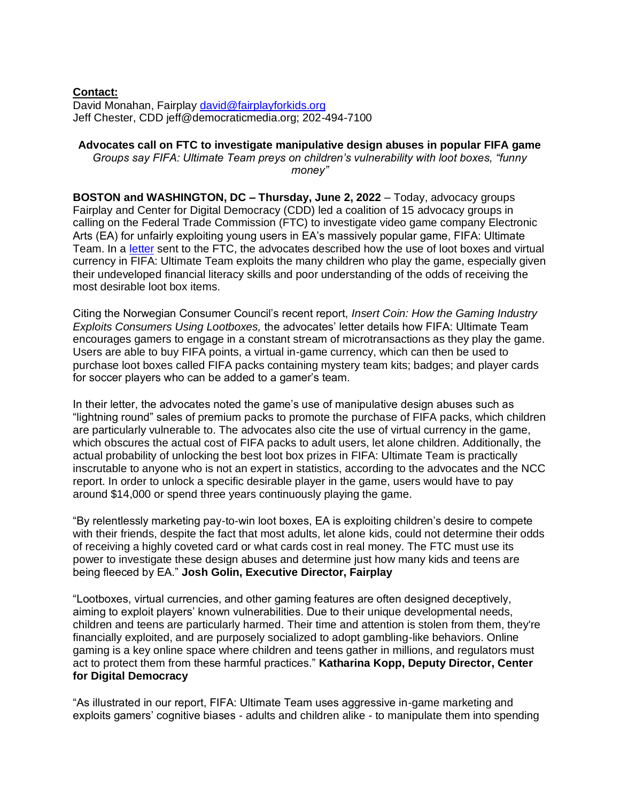## **Contact:**

David Monahan, Fairplay [david@fairplayforkids.org](mailto:david@fairplayforkids.org) Jeff Chester, CDD jeff@democraticmedia.org; 202-494-7100

## **Advocates call on FTC to investigate manipulative design abuses in popular FIFA game**

*Groups say FIFA: Ultimate Team preys on children's vulnerability with loot boxes, "funny money"*

**BOSTON and WASHINGTON, DC – Thursday, June 2, 2022 – Today, advocacy groups** Fairplay and Center for Digital Democracy (CDD) led a coalition of 15 advocacy groups in calling on the Federal Trade Commission (FTC) to investigate video game company Electronic Arts (EA) for unfairly exploiting young users in EA's massively popular game, FIFA: Ultimate Team. In a [letter](https://www.democraticmedia.org/sites/default/files/field/public-files/2022/lootboxletterfull.pdf) sent to the FTC, the advocates described how the use of loot boxes and virtual currency in FIFA: Ultimate Team exploits the many children who play the game, especially given their undeveloped financial literacy skills and poor understanding of the odds of receiving the most desirable loot box items.

Citing the Norwegian Consumer Council's recent report, *Insert Coin: How the Gaming Industry Exploits Consumers Using Lootboxes,* the advocates' letter details how FIFA: Ultimate Team encourages gamers to engage in a constant stream of microtransactions as they play the game. Users are able to buy FIFA points, a virtual in-game currency, which can then be used to purchase loot boxes called FIFA packs containing mystery team kits; badges; and player cards for soccer players who can be added to a gamer's team.

In their letter, the advocates noted the game's use of manipulative design abuses such as "lightning round" sales of premium packs to promote the purchase of FIFA packs, which children are particularly vulnerable to. The advocates also cite the use of virtual currency in the game, which obscures the actual cost of FIFA packs to adult users, let alone children. Additionally, the actual probability of unlocking the best loot box prizes in FIFA: Ultimate Team is practically inscrutable to anyone who is not an expert in statistics, according to the advocates and the NCC report. In order to unlock a specific desirable player in the game, users would have to pay around \$14,000 or spend three years continuously playing the game.

"By relentlessly marketing pay-to-win loot boxes, EA is exploiting children's desire to compete with their friends, despite the fact that most adults, let alone kids, could not determine their odds of receiving a highly coveted card or what cards cost in real money. The FTC must use its power to investigate these design abuses and determine just how many kids and teens are being fleeced by EA." **Josh Golin, Executive Director, Fairplay**

"Lootboxes, virtual currencies, and other gaming features are often designed deceptively, aiming to exploit players' known vulnerabilities. Due to their unique developmental needs, children and teens are particularly harmed. Their time and attention is stolen from them, they're financially exploited, and are purposely socialized to adopt gambling-like behaviors. Online gaming is a key online space where children and teens gather in millions, and regulators must act to protect them from these harmful practices." **Katharina Kopp, Deputy Director, Center for Digital Democracy**

"As illustrated in our report, FIFA: Ultimate Team uses aggressive in-game marketing and exploits gamers' cognitive biases - adults and children alike - to manipulate them into spending